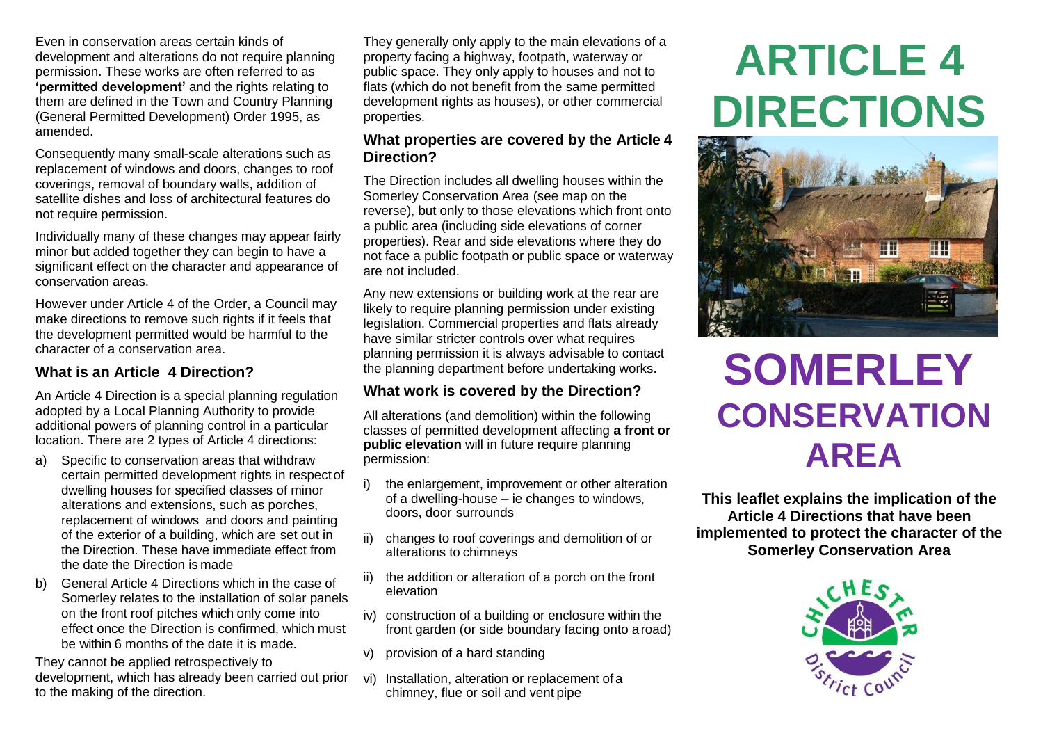Even in conservation areas certain kinds of development and alterations do not require planning permission. These works are often referred to as **'permitted development'** and the rights relating to them are defined in the Town and Country Planning (General Permitted Development) Order 1995, as amended.

Consequently many small-scale alterations such as replacement of windows and doors, changes to roof coverings, removal of boundary walls, addition of satellite dishes and loss of architectural features do not require permission.

Individually many of these changes may appear fairly minor but added together they can begin to have a significant effect on the character and appearance of conservation areas.

However under Article 4 of the Order, a Council may make directions to remove such rights if it feels that the development permitted would be harmful to the character of a conservation area.

### **What is an Article 4 Direction?**

An Article 4 Direction is a special planning regulation adopted by a Local Planning Authority to provide additional powers of planning control in a particular location. There are 2 types of Article 4 directions:

- a) Specific to conservation areas that withdraw certain permitted development rights in respect of dwelling houses for specified classes of minor alterations and extensions, such as porches, replacement of windows and doors and painting of the exterior of a building, which are set out in the Direction. These have immediate effect from the date the Direction is made
- b) General Article 4 Directions which in the case of Somerley relates to the installation of solar panels on the front roof pitches which only come into effect once the Direction is confirmed, which must be within 6 months of the date it is made.

They cannot be applied retrospectively to development, which has already been carried out prior to the making of the direction.

They generally only apply to the main elevations of a property facing a highway, footpath, waterway or public space. They only apply to houses and not to flats (which do not benefit from the same permitted development rights as houses), or other commercial properties.

#### **What properties are covered by the Article 4 Direction?**

The Direction includes all dwelling houses within the Somerley Conservation Area (see map on the reverse), but only to those elevations which front onto a public area (including side elevations of corner properties). Rear and side elevations where they do not face a public footpath or public space or waterway are not included.

Any new extensions or building work at the rear are likely to require planning permission under existing legislation. Commercial properties and flats already have similar stricter controls over what requires planning permission it is always advisable to contact the planning department before undertaking works.

### **What work is covered by the Direction?**

All alterations (and demolition) within the following classes of permitted development affecting **a front or public elevation** will in future require planning permission:

- i) the enlargement, improvement or other alteration of a dwelling-house – ie changes to windows, doors, door surrounds
- ii) changes to roof coverings and demolition of or alterations to chimneys
- ii) the addition or alteration of a porch on the front elevation
- iv) construction of a building or enclosure within the front garden (or side boundary facing onto aroad)
- v) provision of a hard standing
- vi) Installation, alteration or replacement of a chimney, flue or soil and vent pipe

# **ARTICLE 4 DIRECTIONS**



# **SOMERLEY CONSERVATION AREA**

**This leaflet explains the implication of the Article 4 Directions that have been implemented to protect the character of the Somerley Conservation Area**